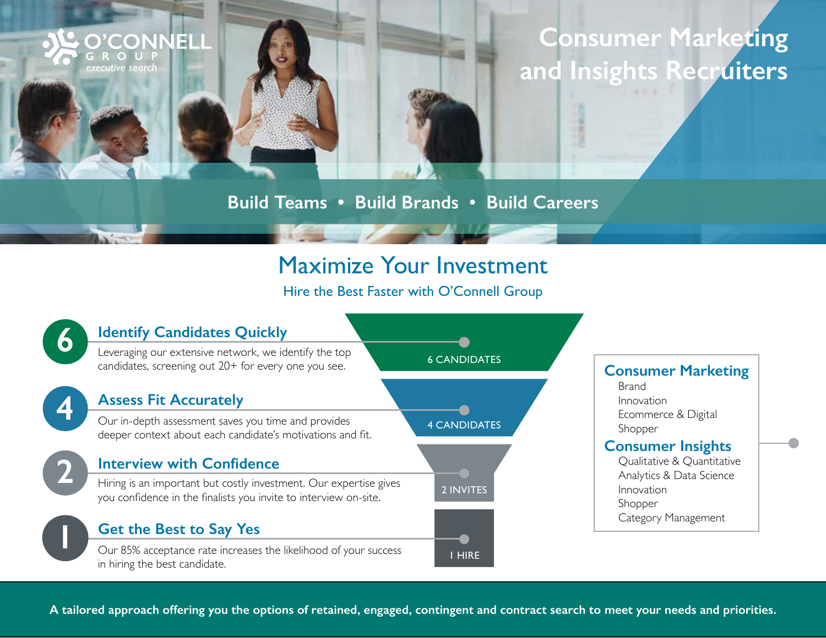# **Consumer Marketing and Insights Recruiters**

#### **Build Teams • Build Brands • Build Careers**

**O'CONNELL** 

GROUP executive search

## Maximize Your Investment

Hire the Best Faster with O'Connell Group



**A tailored approach offering you the options of retained, engaged, contingent and contract search to meet your needs and priorities.**